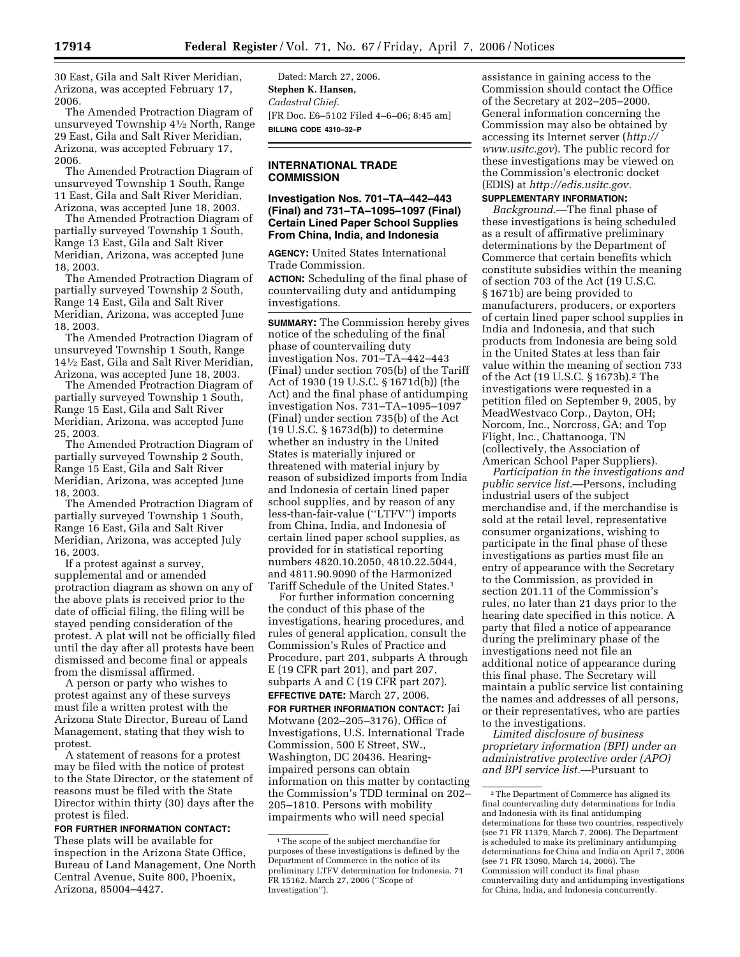30 East, Gila and Salt River Meridian, Arizona, was accepted February 17, 2006.

The Amended Protraction Diagram of unsurveyed Township 41⁄2 North, Range 29 East, Gila and Salt River Meridian, Arizona, was accepted February 17, 2006.

The Amended Protraction Diagram of unsurveyed Township 1 South, Range 11 East, Gila and Salt River Meridian, Arizona, was accepted June 18, 2003.

The Amended Protraction Diagram of partially surveyed Township 1 South, Range 13 East, Gila and Salt River Meridian, Arizona, was accepted June 18, 2003.

The Amended Protraction Diagram of partially surveyed Township 2 South, Range 14 East, Gila and Salt River Meridian, Arizona, was accepted June 18, 2003.

The Amended Protraction Diagram of unsurveyed Township 1 South, Range 141⁄2 East, Gila and Salt River Meridian, Arizona, was accepted June 18, 2003.

The Amended Protraction Diagram of partially surveyed Township 1 South, Range 15 East, Gila and Salt River Meridian, Arizona, was accepted June 25, 2003.

The Amended Protraction Diagram of partially surveyed Township 2 South, Range 15 East, Gila and Salt River Meridian, Arizona, was accepted June 18, 2003.

The Amended Protraction Diagram of partially surveyed Township 1 South, Range 16 East, Gila and Salt River Meridian, Arizona, was accepted July 16, 2003.

If a protest against a survey, supplemental and or amended protraction diagram as shown on any of the above plats is received prior to the date of official filing, the filing will be stayed pending consideration of the protest. A plat will not be officially filed until the day after all protests have been dismissed and become final or appeals from the dismissal affirmed.

A person or party who wishes to protest against any of these surveys must file a written protest with the Arizona State Director, Bureau of Land Management, stating that they wish to protest.

A statement of reasons for a protest may be filed with the notice of protest to the State Director, or the statement of reasons must be filed with the State Director within thirty (30) days after the protest is filed.

# **FOR FURTHER INFORMATION CONTACT:**

These plats will be available for inspection in the Arizona State Office, Bureau of Land Management, One North Central Avenue, Suite 800, Phoenix, Arizona, 85004–4427.

Dated: March 27, 2006. **Stephen K. Hansen,**  *Cadastral Chief.*  [FR Doc. E6–5102 Filed 4–6–06; 8:45 am] **BILLING CODE 4310–32–P** 

## **INTERNATIONAL TRADE COMMISSION**

### **Investigation Nos. 701–TA–442–443 (Final) and 731–TA–1095–1097 (Final) Certain Lined Paper School Supplies From China, India, and Indonesia**

**AGENCY:** United States International Trade Commission.

**ACTION:** Scheduling of the final phase of countervailing duty and antidumping investigations.

**SUMMARY:** The Commission hereby gives notice of the scheduling of the final phase of countervailing duty investigation Nos. 701–TA–442–443 (Final) under section 705(b) of the Tariff Act of 1930 (19 U.S.C. § 1671d(b)) (the Act) and the final phase of antidumping investigation Nos. 731–TA–1095–1097 (Final) under section 735(b) of the Act (19 U.S.C. § 1673d(b)) to determine whether an industry in the United States is materially injured or threatened with material injury by reason of subsidized imports from India and Indonesia of certain lined paper school supplies, and by reason of any less-than-fair-value (''LTFV'') imports from China, India, and Indonesia of certain lined paper school supplies, as provided for in statistical reporting numbers 4820.10.2050, 4810.22.5044, and 4811.90.9090 of the Harmonized Tariff Schedule of the United States.1

For further information concerning the conduct of this phase of the investigations, hearing procedures, and rules of general application, consult the Commission's Rules of Practice and Procedure, part 201, subparts A through E (19 CFR part 201), and part 207, subparts A and C (19 CFR part 207). **EFFECTIVE DATE:** March 27, 2006.

**FOR FURTHER INFORMATION CONTACT:** Jai Motwane (202–205–3176), Office of Investigations, U.S. International Trade Commission, 500 E Street, SW., Washington, DC 20436. Hearingimpaired persons can obtain information on this matter by contacting the Commission's TDD terminal on 202– 205–1810. Persons with mobility impairments who will need special

assistance in gaining access to the Commission should contact the Office of the Secretary at 202–205–2000. General information concerning the Commission may also be obtained by accessing its Internet server (*http:// www.usitc.gov*). The public record for these investigations may be viewed on the Commission's electronic docket (EDIS) at *http://edis.usitc.gov.* 

# **SUPPLEMENTARY INFORMATION:**

*Background.*—The final phase of these investigations is being scheduled as a result of affirmative preliminary determinations by the Department of Commerce that certain benefits which constitute subsidies within the meaning of section 703 of the Act (19 U.S.C. § 1671b) are being provided to manufacturers, producers, or exporters of certain lined paper school supplies in India and Indonesia, and that such products from Indonesia are being sold in the United States at less than fair value within the meaning of section 733 of the Act (19 U.S.C. § 1673b).2 The investigations were requested in a petition filed on September 9, 2005, by MeadWestvaco Corp., Dayton, OH; Norcom, Inc., Norcross, GA; and Top Flight, Inc., Chattanooga, TN (collectively, the Association of American School Paper Suppliers).

*Participation in the investigations and public service list.*—Persons, including industrial users of the subject merchandise and, if the merchandise is sold at the retail level, representative consumer organizations, wishing to participate in the final phase of these investigations as parties must file an entry of appearance with the Secretary to the Commission, as provided in section 201.11 of the Commission's rules, no later than 21 days prior to the hearing date specified in this notice. A party that filed a notice of appearance during the preliminary phase of the investigations need not file an additional notice of appearance during this final phase. The Secretary will maintain a public service list containing the names and addresses of all persons, or their representatives, who are parties to the investigations.

*Limited disclosure of business proprietary information (BPI) under an administrative protective order (APO) and BPI service list.*—Pursuant to

<sup>1</sup>The scope of the subject merchandise for purposes of these investigations is defined by the Department of Commerce in the notice of its preliminary LTFV determination for Indonesia. 71 FR 15162, March 27, 2006 (''Scope of Investigation'').

<sup>2</sup>The Department of Commerce has aligned its final countervailing duty determinations for India and Indonesia with its final antidumping determinations for these two countries, respectively (see 71 FR 11379, March 7, 2006). The Department is scheduled to make its preliminary antidumping determinations for China and India on April 7, 2006 (see 71 FR 13090, March 14, 2006). The Commission will conduct its final phase countervailing duty and antidumping investigations for China, India, and Indonesia concurrently.